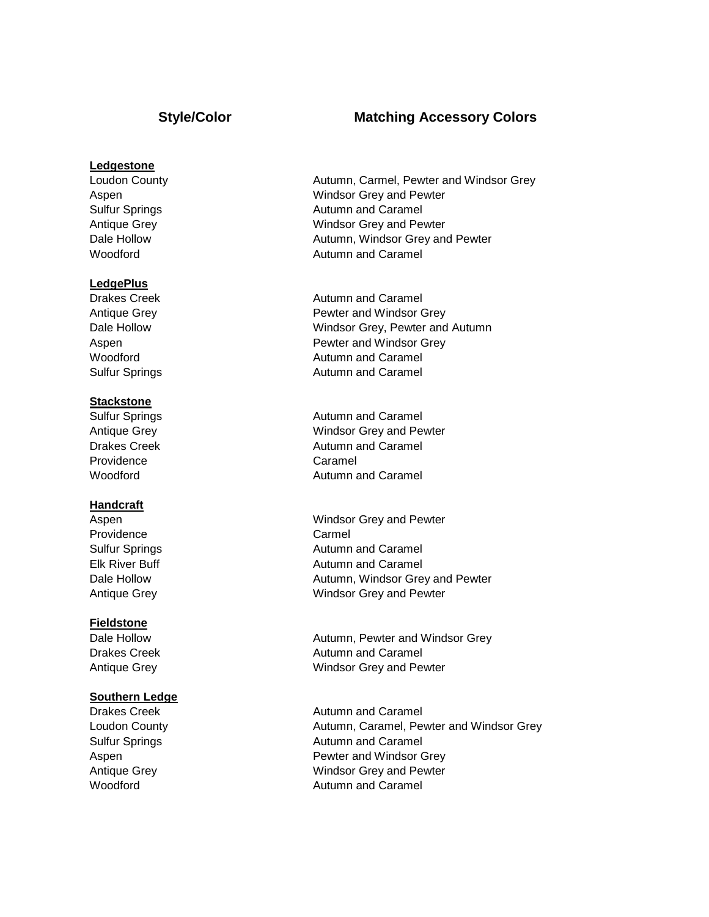### **Ledgestone**

#### **LedgePlus**

#### **Stackstone**

Providence Caramel

#### **Handcraft**

Providence Carmel

#### **Fieldstone**

#### **Southern Ledge**

- Loudon County **Autumn, Carmel, Pewter and Windsor Grey** Aspen Windsor Grey and Pewter Sulfur Springs **Autumn** and Caramel Antique Grey Nundsor Grey and Pewter Dale Hollow **Dale Hollow Autumn, Windsor Grey and Pewter** Woodford **Autumn** and Caramel
- Drakes Creek **Autumn** and Caramel Antique Grey **Pewter and Windsor Grey** Dale Hollow Windsor Grey, Pewter and Autumn Aspen **Aspen Pewter and Windsor Grey** Woodford **Autumn** and Caramel Sulfur Springs **Autumn** and Caramel
- Sulfur Springs **Autumn** and Caramel Antique Grey Nundsor Grey and Pewter Drakes Creek **Autumn** and Caramel Woodford **Autumn** and Caramel
- Aspen Windsor Grey and Pewter Sulfur Springs **Autumn** and Caramel Elk River Buff **Autumn** and Caramel Dale Hollow **Dale Hollow** Autumn, Windsor Grey and Pewter Antique Grey Nundsor Grey and Pewter
- Dale Hollow **Dale Hollow** Autumn, Pewter and Windsor Grey Drakes Creek **Autumn** and Caramel Antique Grey Number 2012 2013 Windsor Grey and Pewter
- Drakes Creek **Autumn** and Caramel Loudon County **Autumn, Caramel, Pewter and Windsor Grey** Sulfur Springs **Autumn** and Caramel Aspen **Pewter and Windsor Grey** Antique Grey North Christian Mundsor Grey and Pewter Woodford **Autumn** and Caramel

## **Style/Color Matching Accessory Colors**